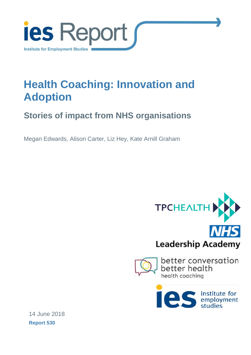

# **Health Coaching: Innovation and Adoption**

# **Stories of impact from NHS organisations**

Megan Edwards, Alison Carter, Liz Hey, Kate Arnill Graham







14 June 2018 **Report 530**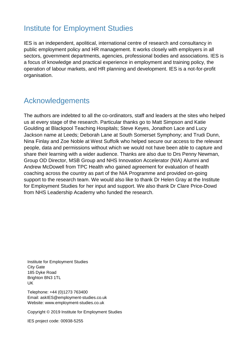### Institute for Employment Studies

IES is an independent, apolitical, international centre of research and consultancy in public employment policy and HR management. It works closely with employers in all sectors, government departments, agencies, professional bodies and associations. IES is a focus of knowledge and practical experience in employment and training policy, the operation of labour markets, and HR planning and development. IES is a not-for-profit organisation.

## Acknowledgements

The authors are indebted to all the co-ordinators, staff and leaders at the sites who helped us at every stage of the research. Particular thanks go to Matt Simpson and Katie Goulding at Blackpool Teaching Hospitals; Steve Keyes, Jonathon Lace and Lucy Jackson name at Leeds; Deborah Lane at South Somerset Symphony; and Trudi Dunn, Nina Finlay and Zoe Noble at West Suffolk who helped secure our access to the relevant people, data and permissions without which we would not have been able to capture and share their learning with a wider audience. Thanks are also due to Drs Penny Newman, Group OD Director, MSB Group and NHS Innovation Accelerator (NIA) Alumni and Andrew McDowell from TPC Health who gained agreement for evaluation of health coaching across the country as part of the NIA Programme and provided on-going support to the research team. We would also like to thank Dr Helen Gray at the Institute for Employment Studies for her input and support. We also thank Dr Clare Price-Dowd from NHS Leadership Academy who funded the research.

Institute for Employment Studies City Gate 185 Dyke Road Brighton BN3 1TL UK

Telephone: +44 (0)1273 763400 Email: askIES@employment-studies.co.uk Website: www.employment-studies.co.uk

Copyright © 2019 Institute for Employment Studies

IES project code: 00938-5255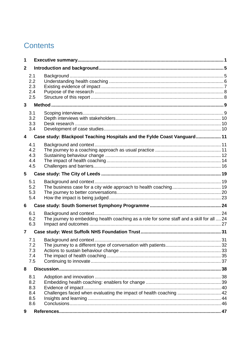# **Contents**

| 1              |                                        |                                                                                           |  |
|----------------|----------------------------------------|-------------------------------------------------------------------------------------------|--|
| $\mathbf{2}$   |                                        |                                                                                           |  |
|                | 2.1<br>2.2<br>2.3<br>2.4<br>2.5        |                                                                                           |  |
| 3              |                                        |                                                                                           |  |
|                | 3.1<br>3.2<br>3.3<br>3.4               |                                                                                           |  |
| 4              |                                        | Case study: Blackpool Teaching Hospitals and the Fylde Coast Vanguard 11                  |  |
|                | 4.1<br>4.2<br>4.3<br>4.4<br>4.5        |                                                                                           |  |
| 5              |                                        |                                                                                           |  |
|                | 5.1<br>5.2<br>5.3<br>5.4               |                                                                                           |  |
| 6              |                                        |                                                                                           |  |
|                | 6.1<br>6.2<br>6.3                      | The journey to embedding health coaching as a role for some staff and a skill for all  24 |  |
| $\overline{7}$ |                                        |                                                                                           |  |
|                | 7.1<br>7.2<br>7.3<br>7.4<br>7.5        |                                                                                           |  |
| 8              |                                        |                                                                                           |  |
|                | 8.1<br>8.2<br>8.3<br>8.4<br>8.5<br>8.6 | Challenges faced when evaluating the impact of health coaching  42                        |  |
| 9              |                                        |                                                                                           |  |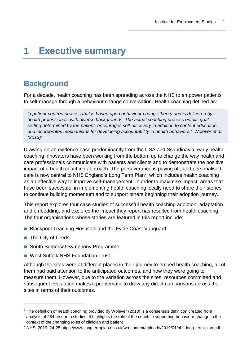# <span id="page-4-0"></span>**1 Executive summary**

### **Background**

For a decade, health coaching has been spreading across the NHS to empower patients to self-manage through a behaviour change conversation. Health coaching defined as:

*'a patient-centred process that is based upon behaviour change theory and is delivered by health professionals with diverse backgrounds. The actual coaching process entails goalsetting determined by the patient, encourages self-discovery in addition to content education, and incorporates mechanisms for developing accountability in health behaviors.' Wolever et al. (2013)<sup>1</sup>*

Drawing on an evidence base predominantly from the USA and Scandinavia, early health coaching innovators have been working from the bottom up to change the way health and care professionals communicate with patients and clients and to demonstrate the positive impact of a health coaching approach. The perseverance is paying off, and personalised care is now central to NHS England's Long Term  $Plan<sup>2</sup>$  which includes health coaching as an effective way to improve self-management. In order to maximise impact, areas that have been successful in implementing health coaching locally need to share their stories to continue building momentum and to support others beginning their adoption journey.

This report explores four case studies of successful health coaching adoption, adaptation and embedding, and explores the impact they report has resulted from health coaching. The four organisations whose stories are featured in this report include:

- Blackpool Teaching Hospitals and the Fylde Coast Vanguard
- The City of Leeds

 $\overline{a}$ 

- South Somerset Symphony Programme
- West Suffolk NHS Foundation Trust

Although the sites were at different places in their journey to embed health coaching, all of them had paid attention to the anticipated outcomes, and how they were going to measure them. However, due to the variation across the sites, resources committed and subsequent evaluation makes it problematic to draw any direct comparisons across the sites in terms of their outcomes.

 $1$  The definition of health coaching provided by Wolever (2013) is a consensus definition created from analysis of 284 research studies. It highlights the role of the coach in supporting behaviour change in the context of the changing roles of clinician and patient

<sup>&</sup>lt;sup>2</sup> NHS. 2019: 24-25.https://www.longtermplan.nhs.uk/wp-content/uploads/2019/01/nhs-long-term-plan.pdf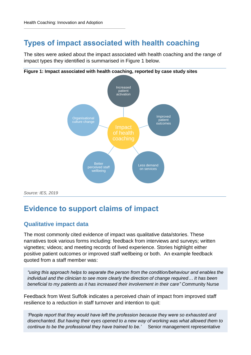## **Types of impact associated with health coaching**

The sites were asked about the impact associated with health coaching and the range of impact types they identified is summarised in Figure 1 below.



#### **Figure 1: Impact associated with health coaching, reported by case study sites**

*Source: IES, 2019*

## **Evidence to support claims of impact**

### **Qualitative impact data**

The most commonly cited evidence of impact was qualitative data/stories. These narratives took various forms including: feedback from interviews and surveys; written vignettes; videos; and meeting records of lived experience. Stories highlight either positive patient outcomes or improved staff wellbeing or both. An example feedback quoted from a staff member was:

*"using this approach helps to separate the person from the condition/behaviour and enables the individual and the clinician to see more clearly the direction of change required… It has been beneficial to my patients as it has increased their involvement in their care" C*ommunity Nurse

Feedback from West Suffolk indicates a perceived chain of impact from improved staff resilience to a reduction in staff turnover and intention to quit:

*'People report that they would have left the profession because they were so exhausted and disenchanted. But having their eyes opened to a new way of working was what allowed them to continue to be the professional they have trained to be.'* Senior management representative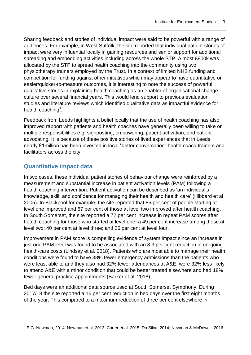Sharing feedback and stories of individual impact were said to be powerful with a range of audiences. For example, in West Suffolk, the site reported that individual patient stories of impact were very influential locally in gaining resources and senior support for additional spreading and embedding activities including across the whole STP. Almost £800k was allocated by the STP to spread health coaching into the community using two physiotherapy trainers employed by the Trust. In a context of limited NHS funding and competition for funding against other initiatives which may appear to have quantitative or easier/quicker-to-measure outcomes, it is interesting to note the success of powerful qualitative stories in explaining health coaching as an enabler of organisational change culture over several financial years. This would lend support to previous evaluation studies and literature reviews which identified qualitative data as impactful evidence for health coaching<sup>3</sup>.

Feedback from Leeds highlights a belief locally that the use of health coaching has also improved rapport with patients and health coaches have generally been willing to take on multiple responsibilities e.g. signposting, empowering, patient activation, and patient advocating. It is because of these positive stories of lived experiences that in Leeds nearly £1million has been invested in local "better conversation" health coach trainers and facilitators across the city.

### **Quantitative impact data**

 $\overline{a}$ 

In two cases, these individual patient stories of behaviour change were reinforced by a measurement and substantial increase in patient activation levels (PAM) following a health coaching intervention. Patient activation can be described as 'an individual's knowledge, skill, and confidence for managing their health and health care' (Hibbard et al 2005). In Blackpool for example, the site reported that 85 per cent of people starting at level one improved and 67 per cent of those at level two improved after health coaching. In South Somerset, the site reported a 72 per cent increase in repeat PAM scores after health coaching for those who started at level one; a 49 per cent increase among those at level two; 40 per cent at level three; and 25 per cent at level four.

Improvement in PAM score is compelling evidence of system impact since an increase in just one PAM level was found to be associated with an 8.3 per cent reduction in on-going health-care costs (Lindsay et al. 2018). Patients who are most able to manage their health conditions were found to have 38% fewer emergency admissions than the patients who were least able to and they also had 32% fewer attendances at A&E, were 32% less likely to attend A&E with a minor condition that could be better treated elsewhere and had 18% fewer general practice appointments (Barker et al. 2018).

Bed days were an additional data source used at South Somerset Symphony. During 2017/18 the site reported a 16 per cent reduction in bed days over the first eight months of the year. This compared to a maximum reduction of three per cent elsewhere in

 $^3$  E.G. Newman, 2014; Newman et al, 2013; Carter et al. 2015; Da Silva, 2014; Newman & McDowell, 2016.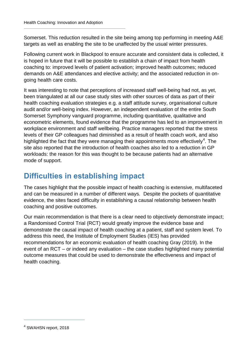Somerset. This reduction resulted in the site being among top performing in meeting A&E targets as well as enabling the site to be unaffected by the usual winter pressures.

Following current work in Blackpool to ensure accurate and consistent data is collected, it is hoped in future that it will be possible to establish a chain of impact from health coaching to: improved levels of patient activation; improved health outcomes; reduced demands on A&E attendances and elective activity; and the associated reduction in ongoing health care costs.

It was interesting to note that perceptions of increased staff well-being had not, as yet, been triangulated at all our case study sites with other sources of data as part of their health coaching evaluation strategies e.g. a staff attitude survey, organisational culture audit and/or well-being index. However, an independent evaluation of the entire South Somerset Symphony vanguard programme, including quantitative, qualitative and econometric elements, found evidence that the programme has led to an improvement in workplace environment and staff wellbeing. Practice managers reported that the stress levels of their GP colleagues had diminished as a result of health coach work, and also highlighted the fact that they were managing their appointments more effectively<sup>4</sup>. The site also reported that the introduction of health coaches also led to a reduction in GP workloads: the reason for this was thought to be because patients had an alternative mode of support.

### **Difficulties in establishing impact**

The cases highlight that the possible impact of health coaching is extensive, multifaceted and can be measured in a number of different ways. Despite the pockets of quantitative evidence, the sites faced difficulty in establishing a causal relationship between health coaching and positive outcomes.

Our main recommendation is that there is a clear need to objectively demonstrate impact; a Randomised Control Trial (RCT) would greatly improve the evidence base and demonstrate the causal impact of health coaching at a patient, staff and system level. To address this need, the Institute of Employment Studies (IES) has provided recommendations for an economic evaluation of health coaching Gray (2019). In the event of an RCT – or indeed any evaluation – the case studies highlighted many potential outcome measures that could be used to demonstrate the effectiveness and impact of health coaching.

<sup>4</sup> SWAHSN report, 2018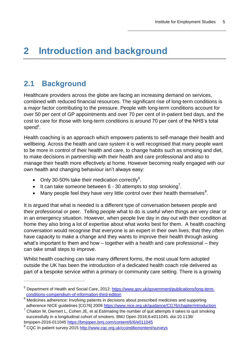# <span id="page-8-0"></span>**2 Introduction and background**

## <span id="page-8-1"></span>**2.1 Background**

 $\overline{a}$ 

Healthcare providers across the globe are facing an increasing demand on services, combined with reduced financial resources. The significant rise of long-term conditions is a major factor contributing to the pressure. People with long-term conditions account for over 50 per cent of GP appointments and over 70 per cent of in-patient bed days, and the cost to care for those with long-term conditions is around 70 per cent of the NHS's total spend<sup>5</sup>.

Health coaching is an approach which empowers patients to self-manage their health and wellbeing. Across the health and care system it is well recognised that many people want to be more in control of their health and care, to change habits such as smoking and diet, to make decisions in partnership with their health and care professional and also to manage their health more effectively at home. However becoming really engaged with our own health and changing behaviour isn't always easy:

- Only 30-50% take their medication correctly $6$ .
- It can take someone between 6 30 attempts to stop smoking<sup>7</sup>.
- Many people feel they have very little control over their health themselves<sup>8</sup>.

It is argued that what is needed is a different type of conversation between people and their professional or peer. Telling people what to do is useful when things are very clear or in an emergency situation. However, when people live day in day out with their condition at home they also bring a lot of expertise about what works best for them. A health coaching conversation would recognise that everyone is an expert in their own lives, that they often have capacity to make a change and they wants to improve their health through asking what's important to them and how – together with a health and care professional – they can take small steps to improve.

Whilst health coaching can take many different forms, the most usual form adopted outside the UK has been the introduction of a dedicated health coach role delivered as part of a bespoke service within a primary or community care setting. There is a growing

<sup>&</sup>lt;sup>5</sup> Department of Health and Social Care, 2012: [https://www.gov.uk/government/publications/long-term](https://www.gov.uk/government/publications/long-term-conditions-compendium-of-information-third-edition)[conditions-compendium-of-information-third-edition](https://www.gov.uk/government/publications/long-term-conditions-compendium-of-information-third-edition)

<sup>6</sup> Medicines adherence: Involving patients in decisions about prescribed medicines and supporting adherence NICE guidelines [CG76] 2009<https://www.nice.org.uk/guidance/CG76/chapter/introduction>

 $7$  Chaiton M, Diemert L, Cohen JE, et al. Estimating the number of quit attempts it takes to quit smoking successfully in a longitudinal cohort of smokers. BMJ Open 2016;6:e011045. doi:10.1136/ bmjopen-2016-011045<https://bmjopen.bmj.com/content/6/6/e011045>

<sup>&</sup>lt;sup>8</sup> CQC In patient survey 2015<http://www.cqc.org.uk/cconditionontent/surveys>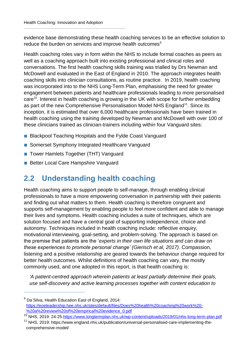evidence base demonstrating these health coaching services to be an effective solution to reduce the burden on services and improve health outcomes<sup>9</sup>

Health coaching roles vary in form within the NHS to include formal coaches as peers as well as a coaching approach built into existing professional and clinical roles and conversations. The first health coaching skills training was trialled by Drs Newman and McDowell and evaluated in the East of England in 2010. The approach integrates health coaching skills into clinician consultations, as routine practice. In 2019, health coaching was incorporated into to the NHS Long-Term Plan, emphasising the need for greater engagement between patients and healthcare professionals leading to more personalised care<sup>10</sup>. Interest in health coaching is growing in the UK with scope for further embedding as part of the new Comprehensive Personalisation Model NHS England<sup>11</sup>. Since its inception, it is estimated that over 6,000 healthcare professionals have been trained in health coaching using the training developed by Newman and McDowell with over 100 of these clinicians trained as clinician-trainers including within four Vanguard sites:

- Blackpool Teaching Hospitals and the Fylde Coast Vanguard
- Somerset Symphony Integrated Healthcare Vanguard
- Tower Hamlets Together (THT) Vanguard
- Better Local Care Hampshire Vanguard

 $\overline{a}$ 

# <span id="page-9-0"></span>**2.2 Understanding health coaching**

Health coaching aims to support people to self-manage, through enabling clinical professionals to have a more empowering conversation in partnership with their patients and finding out what matters to them. Health coaching is therefore congruent and supports self-management by enabling people to feel more confident and able to manage their lives and symptoms. Health coaching includes a suite of techniques, which are solution focused and have a central goal of supporting independence, choice and autonomy. Techniques included in health coaching include: reflective enquiry, motivational interviewing, goal-setting, and problem-solving. The approach is based on the premise that patients are the '*experts in their own life situations and can draw on these experiences to promote personal change' (Gierisch et al, 2017)*. Compassion, listening and a positive relationship are geared towards the behaviour change required for better health outcomes. Whilst definitions of health coaching can vary, the mostly commonly used, and one adopted in this report, is that health coaching is:

*'A patient-centred approach wherein patients at least partially determine their goals, use self-discovery and active learning processes together with content education to* 

 $9$  Da Silva, Health Education East of England, 2014: [https://eoeleadership.hee.nhs.uk/sites/default/files/Does%20health%20coaching%20work%20-](https://eoeleadership.hee.nhs.uk/sites/default/files/Does%20health%20coaching%20work%20-%20a%20review%20of%20empirical%20evidence_0.pdf) [%20a%20review%20of%20empirical%20evidence\\_0.pdf](https://eoeleadership.hee.nhs.uk/sites/default/files/Does%20health%20coaching%20work%20-%20a%20review%20of%20empirical%20evidence_0.pdf)

<sup>&</sup>lt;sup>10</sup> NHS, 2019: 24-25[.https://www.longtermplan.nhs.uk/wp-content/uploads/2019/01/nhs-long-term-plan.pdf](https://www.longtermplan.nhs.uk/wp-content/uploads/2019/01/nhs-long-term-plan.pdf)

<sup>&</sup>lt;sup>11</sup> NHS, 2019: https://www.england.nhs.uk/publication/universal-personalised-care-implementing-thecomprehensive-model/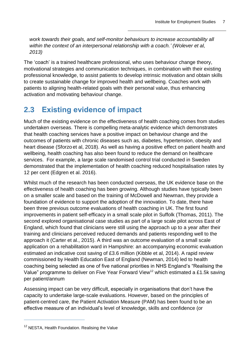*work towards their goals, and self-monitor behaviours to increase accountability all within the context of an interpersonal relationship with a coach.' (Wolever et al, 2013)*

The 'coach' is a trained healthcare professional, who uses behaviour change theory, motivational strategies and communication techniques, in combination with their existing professional knowledge, to assist patients to develop intrinsic motivation and obtain skills to create sustainable change for improved health and wellbeing. Coaches work with patients to aligning health-related goals with their personal value, thus enhancing activation and motivating behaviour change.

# <span id="page-10-0"></span>**2.3 Existing evidence of impact**

Much of the existing evidence on the effectiveness of health coaching comes from studies undertaken overseas. There is compelling meta-analytic evidence which demonstrates that health coaching services have a positive impact on behaviour change and the outcomes of patients with chronic diseases such as, diabetes, hypertension, obesity and heart disease (Sforzo et al, 2018). As well as having a positive effect on patient health and wellbeing, health coaching has also been found to reduce the demand on healthcare services. For example, a large scale randomised control trial conducted in Sweden demonstrated that the implementation of health coaching reduced hospitalisation rates by 12 per cent (Edgren et al. 2016).

Whilst much of the research has been conducted overseas, the UK evidence base on the effectiveness of health coaching has been growing. Although studies have typically been on a smaller scale and based on the training of McDowell and Newman, they provide a foundation of evidence to support the adoption of the innovation. To date, there have been three previous outcome evaluations of health coaching in UK. The first found improvements in patient self-efficacy in a small scale pilot in Suffolk (Thomas, 2011). The second explored organisational case studies as part of a large scale pilot across East of England, which found that clinicians were still using the approach up to a year after their training and clinicians perceived reduced demands and patients responding well to the approach it (Carter et al., 2015). A third was an outcome evaluation of a small scale application on a rehabilitation ward in Hampshire: an accompanying economic evaluation estimated an indicative cost saving of £3.6 million (Kibble et al, 2014). A rapid review commissioned by Health Education East of England (Newman, 2014) led to health coaching being selected as one of five national priorities in NHS England's "Realising the Value" programme to deliver on Five Year Forward View<sup>12</sup> which estimated a £1.5k saving per patient/annum

Assessing impact can be very difficult, especially in organisations that don't have the capacity to undertake large-scale evaluations. However, based on the principles of patient-centred care, the Patient Activation Measure (PAM) has been found to be an effective measure of an individual's level of knowledge, skills and confidence (or

<sup>&</sup>lt;sup>12</sup> NESTA, Health Foundation. Realising the Value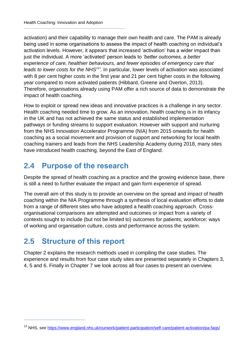activation) and their capability to manage their own health and care. The PAM is already being used in some organisations to assess the impact of health coaching on individual's activation levels. However, it appears that increased 'activation' has a wider impact than just the individual. A more 'activated' person leads to *'better outcomes, a better experience of care, healthier behaviours, and fewer episodes of emergency care that*  leads to lower costs for the NHS<sup>13</sup><sup>'</sup>. In particular, lower levels of activation was associated with 8 per cent higher costs in the first year and 21 per cent higher costs in the following year compared to more activated patients (Hibbard, Greene and Overton, 2013). Therefore, organisations already using PAM offer a rich source of data to demonstrate the impact of health coaching.

How to exploit or spread new ideas and innovative practices is a challenge in any sector. Health coaching needed time to grow. As an innovation, health coaching is in its infancy in the UK and has not achieved the same status and established implementation pathways or funding streams to support evaluation. However with support and nurturing from the NHS Innovation Accelerator Programme (NIA) from 2015 onwards for health coaching as a social movement and provision of support and networking for local health coaching trainers and leads from the NHS Leadership Academy during 2018, many sites have introduced health coaching, beyond the East of England.

# <span id="page-11-0"></span>**2.4 Purpose of the research**

Despite the spread of health coaching as a practice and the growing evidence base, there is still a need to further evaluate the impact and gain form experience of spread.

The overall aim of this study is to provide an overview on the spread and impact of health coaching within the NIA Programme through a synthesis of local evaluation efforts to date from a range of different sites who have adopted a health coaching approach. Crossorganisational comparisons are attempted and outcomes or impact from a variety of contexts sought to include (but not be limited to) outcomes for patients; workforce; ways of working and organisation culture, costs and performance across the system.

# <span id="page-11-1"></span>**2.5 Structure of this report**

 $\overline{a}$ 

Chapter 2 explains the research methods used in compiling the case studies. The experience and results from four case study sites are presented separately in Chapters 3, 4, 5 and 6. Finally in Chapter 7 we look across all four cases to present an overview.

<sup>&</sup>lt;sup>13</sup> NHS, see<https://www.england.nhs.uk/ourwork/patient-participation/self-care/patient-activation/pa-faqs/>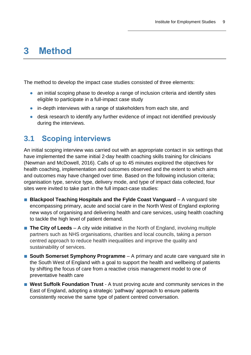# <span id="page-12-0"></span>**3 Method**

The method to develop the impact case studies consisted of three elements:

- an initial scoping phase to develop a range of inclusion criteria and identify sites eligible to participate in a full-impact case study
- **●** in-depth interviews with a range of stakeholders from each site, and
- **●** desk research to identify any further evidence of impact not identified previously during the interviews.

## <span id="page-12-1"></span>**3.1 Scoping interviews**

An initial scoping interview was carried out with an appropriate contact in six settings that have implemented the same initial 2-day health coaching skills training for clinicians (Newman and McDowell, 2016). Calls of up to 45 minutes explored the objectives for health coaching, implementation and outcomes observed and the extent to which aims and outcomes may have changed over time. Based on the following inclusion criteria; organisation type, service type, delivery mode, and type of impact data collected, four sites were invited to take part in the full impact-case studies:

- **Blackpool Teaching Hospitals and the Fylde Coast Vanguard** A vanguard site encompassing primary, acute and social care in the North West of England exploring new ways of organising and delivering health and care services, using health coaching to tackle the high level of patient demand.
- **The City of Leeds** A city wide initiative in the North of England, involving multiple partners such as NHS organisations, charities and local councils, taking a person centred approach to reduce health inequalities and improve the quality and sustainability of services.
- **South Somerset Symphony Programme** A primary and acute care vanguard site in the South West of England with a goal to support the health and wellbeing of patients by shifting the focus of care from a reactive crisis management model to one of preventative health care
- West Suffolk Foundation Trust A trust proving acute and community services in the East of England, adopting a strategic 'pathway' approach to ensure patients consistently receive the same type of patient centred conversation.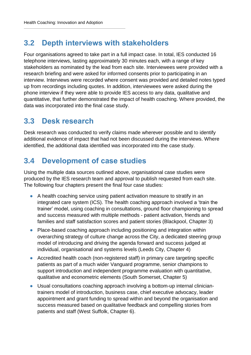## <span id="page-13-0"></span>**3.2 Depth interviews with stakeholders**

Four organisations agreed to take part in a full impact case. In total, IES conducted 16 telephone interviews, lasting approximately 30 minutes each, with a range of key stakeholders as nominated by the lead from each site. Interviewees were provided with a research briefing and were asked for informed consents prior to participating in an interview. Interviews were recorded where consent was provided and detailed notes typed up from recordings including quotes. In addition, interviewees were asked during the phone interview if they were able to provide IES access to any data, qualitative and quantitative, that further demonstrated the impact of health coaching. Where provided, the data was incorporated into the final case study.

### <span id="page-13-1"></span>**3.3 Desk research**

Desk research was conducted to verify claims made wherever possible and to identify additional evidence of impact that had not been discussed during the interviews. Where identified, the additional data identified was incorporated into the case study.

## <span id="page-13-2"></span>**3.4 Development of case studies**

Using the multiple data sources outlined above, organisational case studies were produced by the IES research team and approval to publish requested from each site. The following four chapters present the final four case studies:

- **●** A health coaching service using patient activation measure to stratify in an integrated care system (ICS). The health coaching approach involved a 'train the trainer' model, using coaching in consultations, ground floor championing to spread and success measured with multiple methods - patient activation, friends and families and staff satisfaction scores and patient stories (Blackpool, Chapter 3)
- **●** Place-based coaching approach including positioning and integration within overarching strategy of culture change across the City, a dedicated steering group model of introducing and driving the agenda forward and success judged at individual, organisational and systems levels (Leeds City, Chapter 4)
- **●** Accredited health coach (non-registered staff) in primary care targeting specific patients as part of a much wider Vanguard programme, senior champions to support introduction and independent programme evaluation with quantitative, qualitative and econometric elements (South Somerset, Chapter 5)
- **●** Usual consultations coaching approach involving a bottom-up internal cliniciantrainers model of introduction, business case, chief executive advocacy, leader appointment and grant funding to spread within and beyond the organisation and success measured based on qualitative feedback and compelling stories from patients and staff (West Suffolk, Chapter 6).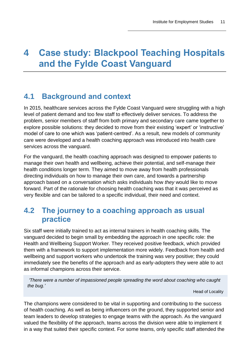# <span id="page-14-0"></span>**4 Case study: Blackpool Teaching Hospitals and the Fylde Coast Vanguard**

# <span id="page-14-1"></span>**4.1 Background and context**

In 2015, healthcare services across the Fylde Coast Vanguard were struggling with a high level of patient demand and too few staff to effectively deliver services. To address the problem, senior members of staff from both primary and secondary care came together to explore possible solutions: they decided to move from their existing 'expert' or 'instructive' model of care to one which was 'patient-centred'. As a result, new models of community care were developed and a health coaching approach was introduced into health care services across the vanguard.

For the vanguard, the health coaching approach was designed to empower patients to manage their own health and wellbeing, achieve their potential, and self-manage their health conditions longer term. They aimed to move away from health professionals directing individuals on how to manage their own care, and towards a partnership approach based on a conversation which asks individuals how *they* would like to move forward. Part of the rationale for choosing health coaching was that it was perceived as very flexible and can be tailored to a specific individual, their need and context.

### <span id="page-14-2"></span>**4.2 The journey to a coaching approach as usual practice**

Six staff were initially trained to act as internal trainers in health coaching skills. The vanguard decided to begin small by embedding the approach in one specific role: the Health and Wellbeing Support Worker. They received positive feedback, which provided them with a framework to support implementation more widely. Feedback from health and wellbeing and support workers who undertook the training was very positive; they could immediately see the benefits of the approach and as early-adopters they were able to act as informal champions across their service.

*'There were a number of impassioned people spreading the word about coaching who caught the bug.'*

Head of Locality

The champions were considered to be vital in supporting and contributing to the success of health coaching. As well as being influencers on the ground, they supported senior and team leaders to develop strategies to engage teams with the approach. As the vanguard valued the flexibility of the approach, teams across the division were able to implement it in a way that suited their specific context. For some teams, only specific staff attended the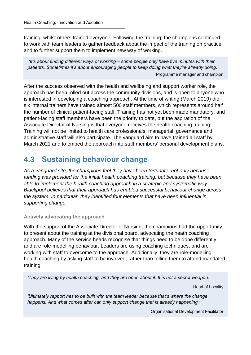training, whilst others trained everyone. Following the training, the champions continued to work with team leaders to gather feedback about the impact of the training on practice, and to further support them to implement new way of working.

*'It's about finding different ways of working – some people only have five minutes with their patients. Sometimes it's about encouraging people to keep doing what they're already doing.'* Programme manager and champion

After the success observed with the health and wellbeing and support worker role, the approach has been rolled out across the community divisions, and is open to anyone who is interested in developing a coaching approach. At the time of writing (March 2019) the six internal trainers have trained almost 500 staff members, which represents around half the number of clinical patient-facing staff. Training has not yet been made mandatory, and patient-facing staff members have been the priority to date, but the aspiration of the Associate Director of Nursing is that everyone receives the health coaching training. Training will not be limited to health care professionals; managerial, governance and administrative staff will also participate. The vanguard aim to have trained all staff by March 2021 and to embed the approach into staff members' personal development plans.

### <span id="page-15-0"></span>**4.3 Sustaining behaviour change**

*As a vanguard site, the champions feel they have been fortunate, not only because funding was provided for the initial health coaching training, but because they have been able to implement the health coaching approach in a strategic and systematic way. Blackpool believes that their approach has enabled successful behaviour change across the system. In particular, they identified four elements that have been influential in supporting change:* 

#### **Actively advocating the approach**

With the support of the Associate Director of Nursing, the champions had the opportunity to present about the training at the divisional board, advocating the heath coaching approach. Many of the service heads recognise that things need to be done differently and are role-modelling behaviour. Leaders are using coaching techniques, and are working with staff to overcome to the approach. Additionally, they are role-modelling health coaching by asking staff to be involved, rather than telling them to attend mandated training.

*'They are living by health coaching, and they are open about it. It is not a secret weapon.'*

Head of Locality

*'Ultimately rapport has to be built with the team leader because that's where the change happens. And what comes after can only support change that is already happening.'*

Organisational Development Facilitator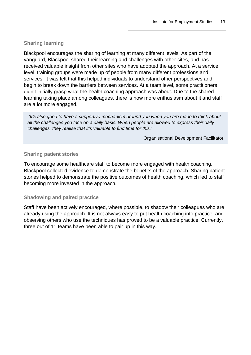#### **Sharing learning**

Blackpool encourages the sharing of learning at many different levels. As part of the vanguard, Blackpool shared their learning and challenges with other sites, and has received valuable insight from other sites who have adopted the approach. At a service level, training groups were made up of people from many different professions and services. It was felt that this helped individuals to understand other perspectives and begin to break down the barriers between services. At a team level, some practitioners didn't initially grasp what the health coaching approach was about. Due to the shared learning taking place among colleagues, there is now more enthusiasm about it and staff are a lot more engaged.

*'It's also good to have a supportive mechanism around you when you are made to think about all the challenges you face on a daily basis. When people are allowed to express their daily challenges, they realise that it's valuable to find time for this.'*

Organisational Development Facilitator

#### **Sharing patient stories**

To encourage some healthcare staff to become more engaged with health coaching, Blackpool collected evidence to demonstrate the benefits of the approach. Sharing patient stories helped to demonstrate the positive outcomes of health coaching, which led to staff becoming more invested in the approach.

#### **Shadowing and paired practice**

Staff have been actively encouraged, where possible, to shadow their colleagues who are already using the approach. It is not always easy to put health coaching into practice, and observing others who use the techniques has proved to be a valuable practice. Currently, three out of 11 teams have been able to pair up in this way.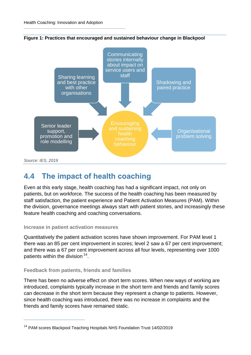

**Figure 1: Practices that encouraged and sustained behaviour change in Blackpool**

### <span id="page-17-0"></span>**4.4 The impact of health coaching**

Even at this early stage, health coaching has had a significant impact, not only on patients, but on workforce. The success of the health coaching has been measured by staff satisfaction, the patient experience and Patient Activation Measures (PAM). Within the division, governance meetings always start with patient stories, and increasingly these feature health coaching and coaching conversations.

#### **Increase in patient activation measures**

Quantitatively the patient activation scores have shown improvement. For PAM level 1 there was an 85 per cent improvement in scores; level 2 saw a 67 per cent improvement; and there was a 67 per cent improvement across all four levels, representing over 1000 patients within the division <sup>14</sup>.

#### **Feedback from patients, friends and families**

 $\overline{a}$ 

There has been no adverse effect on short term scores. When new ways of working are introduced, complaints typically increase in the short term and friends and family scores can decrease in the short term because they represent a change to patients. However, since health coaching was introduced, there was no increase in complaints and the friends and family scores have remained static.

<sup>&</sup>lt;sup>14</sup> PAM scores Blackpool Teaching Hospitals NHS Foundation Trust 14/02/2019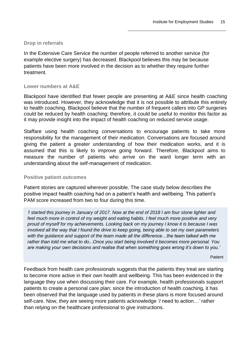#### **Drop in referrals**

In the Extensive Care Service the number of people referred to another service (for example elective surgery) has decreased. Blackpool believes this may be because patients have been more involved in the decision as to whether they require further treatment.

#### **Lower numbers at A&E**

Blackpool have identified that fewer people are presenting at A&E since health coaching was introduced. However, they acknowledge that it is not possible to attribute this entirely to health coaching. Blackpool believe that the number of frequent callers into GP surgeries could be reduced by health coaching; therefore, it could be useful to monitor this factor as it may provide insight into the impact of health coaching on reduced service usage.

Staffare using health coaching conversations to encourage patients to take more responsibility for the management of their medication. Conversations are focused around giving the patient a greater understanding of how their medication works, and it is assumed that this is likely to improve going forward. Therefore, Blackpool aims to measure the number of patients who arrive on the ward longer term with an understanding about the self-management of medication.

#### **Positive patient outcomes**

Patient stories are captured wherever possible. The case study below describes the positive impact health coaching had on a patient's health and wellbeing. This patient's PAM score increased from two to four during this time.

*'I started this journey in January of 2017. Now at the end of 2018 I am four stone lighter and*  feel much more in control of my weight and eating habits. I feel much more positive and very *proud of myself for my achievements. Looking back on my journey I know it is because I was involved all the way that I found the drive to keep going, being able to set my own parameters with the guidance and support of the team made all the difference…the team talked with me rather than told me what to do...Once you start being involved it becomes more personal. You are making your own decisions and realise that when something goes wrong it's down to you.'*

Patient

Feedback from health care professionals suggests that the patients they treat are starting to become more active in their own health and wellbeing. This has been evidenced in the language they use when discussing their care. For example, health professionals support patients to create a personal care plan; since the introduction of health coaching, it has been observed that the language used by patients in these plans is more focused around self-care. Now, they are seeing more patients acknowledge '*I* need to action…*'* rather than relying on the healthcare professional to give instructions.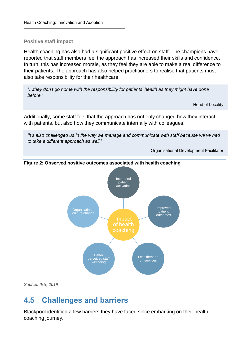#### **Positive staff impact**

Health coaching has also had a significant positive effect on staff. The champions have reported that staff members feel the approach has increased their skills and confidence. In turn, this has increased morale, as they feel they are able to make a real difference to their patients. The approach has also helped practitioners to realise that patients must also take responsibility for their healthcare.

*'…they don't go home with the responsibility for patients' health as they might have done before.'* 

Head of Locality

Additionally, some staff feel that the approach has not only changed how they interact with patients, but also how they communicate internally with colleagues.

*'It's also challenged us in the way we manage and communicate with staff because we've had to take a different approach as well.'*

Organisational Development Facilitator



#### **Figure 2: Observed positive outcomes associated with health coaching**

# <span id="page-19-0"></span>**4.5 Challenges and barriers**

Blackpool identified a few barriers they have faced since embarking on their health coaching journey.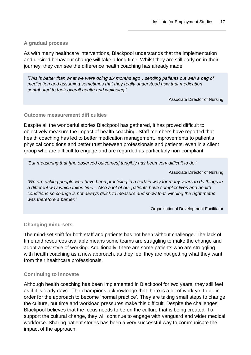#### **A gradual process**

As with many healthcare interventions, Blackpool understands that the implementation and desired behaviour change will take a long time. Whilst they are still early on in their journey, they can see the difference health coaching has already made.

*'This is better than what we were doing six months ago…sending patients out with a bag of medication and assuming sometimes that they really understood how that medication contributed to their overall health and wellbeing.'*

Associate Director of Nursing

#### **Outcome measurement difficulties**

Despite all the wonderful stories Blackpool has gathered, it has proved difficult to objectively measure the impact of health coaching. Staff members have reported that health coaching has led to better medication management, improvements to patient's physical conditions and better trust between professionals and patients, even in a client group who are difficult to engage and are regarded as particularly non-compliant.

*'But measuring that [the observed outcomes] tangibly has been very difficult to do.'*

Associate Director of Nursing

*'We are asking people who have been practicing in a certain way for many years to do things in a different way which takes time…Also a lot of our patients have complex lives and health conditions so change is not always quick to measure and show that. Finding the right metric was therefore a barrier.'*

Organisational Development Facilitator

#### **Changing mind-sets**

The mind-set shift for both staff and patients has not been without challenge. The lack of time and resources available means some teams are struggling to make the change and adopt a new style of working. Additionally, there are some patients who are struggling with health coaching as a new approach, as they feel they are not getting what they want from their healthcare professionals.

#### **Continuing to innovate**

Although health coaching has been implemented in Blackpool for two years, they still feel as if it is 'early days'. The champions acknowledge that there is a lot of work yet to do in order for the approach to become 'normal practice'. They are taking small steps to change the culture, but time and workload pressures make this difficult. Despite the challenges, Blackpool believes that the focus needs to be on the culture that is being created. To support the cultural change, they will continue to engage with vanguard and wider medical workforce. Sharing patient stories has been a very successful way to communicate the impact of the approach.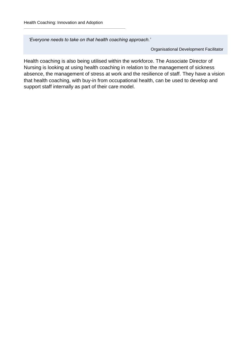*'Everyone needs to take on that health coaching approach.'*

Organisational Development Facilitator

Health coaching is also being utilised within the workforce. The Associate Director of Nursing is looking at using health coaching in relation to the management of sickness absence, the management of stress at work and the resilience of staff. They have a vision that health coaching, with buy-in from occupational health, can be used to develop and support staff internally as part of their care model.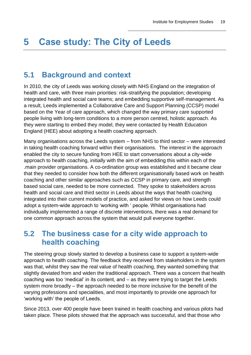# <span id="page-22-0"></span>**5 Case study: The City of Leeds**

### <span id="page-22-1"></span>**5.1 Background and context**

In 2010, the city of Leeds was working closely with NHS England on the integration of health and care, with three main priorities: risk-stratifying the population; developing integrated health and social care teams; and embedding supportive self-management. As a result, Leeds implemented a Collaborative Care and Support Planning (CCSP) model based on the Year of care approach, which changed the way primary care supported people living with long-term conditions to a more person centred, holistic approach. As they were starting to embed they model, they were contacted by Health Education England (HEE) about adopting a health coaching approach.

Many organisations across the Leeds system – from NHS to third sector – were interested in taking health coaching forward within their organisations. The interest in the approach enabled the city to secure funding from HEE to start conversations about a city-wide approach to health coaching, initially with the aim of embedding this within each of the .main provider organisations. A co-ordination group was established and it became clear that they needed to consider how both the different organisationally based work on health coaching and other similar approaches such as CCSP in primary care, and strength based social care, needed to be more connected. They spoke to stakeholders across health and social care and third sector in Leeds about the ways that health coaching integrated into their current models of practice, and asked for views on how Leeds could adopt a system-wide approach to 'working with ' people. Whilst organisations had individually implemented a range of discrete interventions, there was a real demand for one common approach across the system that would pull everyone together.

### <span id="page-22-2"></span>**5.2 The business case for a city wide approach to health coaching**

The steering group slowly started to develop a business case to support a system-wide approach to health coaching. The feedback they received from stakeholders in the system was that, whilst they saw the real value of health coaching, they wanted something that slightly deviated from and widen the traditional approach. There was a concern that health coaching was too 'medical' in its content, and – as they were trying to target the Leeds system more broadly – the approach needed to be more inclusive for the benefit of the varying professions and specialities, and most importantly to provide one approach for 'working with' the people of Leeds.

Since 2013, over 400 people have been trained in health coaching and various pilots had taken place. These pilots showed that the approach was successful, and that those who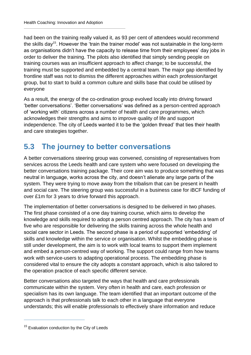had been on the training really valued it, as 93 per cent of attendees would recommend the skills day<sup>15</sup>. However the 'train the trainer model' was not sustainable in the long-term as organisations didn't have the capacity to release time from their employees' day jobs in order to deliver the training. The pilots also identified that simply sending people on training courses was an insufficient approach to affect change; to be successful, the training must be supported and embedded by a central team. The major gap identified by frontline staff was not to dismiss the different approaches within each profession/target group, but to start to build a common culture and skills base that could be utilised by everyone

As a result, the energy of the co-ordination group evolved locally into driving forward 'better conversations'. 'Better conversations' was defined as a person-centred approach of 'working with' citizens across a number of health and care programmes, which acknowledges their strengths and aims to improve quality of life and support independence. The city of Leeds wanted it to be the 'golden thread' that ties their health and care strategies together.

# <span id="page-23-0"></span>**5.3 The journey to better conversations**

A better conversations steering group was convened, consisting of representatives from services across the Leeds health and care system who were focused on developing the better conversations training package. Their core aim was to produce something that was neutral in language, works across the city, and doesn't alienate any large parts of the system. They were trying to move away from the tribalism that can be present in health and social care. The steering group was successful in a business case for iBCF funding of over £1m for 3 years to drive forward this approach.

The implementation of better conversations is designed to be delivered in two phases. The first phase consisted of a one day training course, which aims to develop the knowledge and skills required to adopt a person centred approach. The city has a team of five who are responsible for delivering the skills training across the whole health and social care sector in Leeds. The second phase is a period of supported 'embedding' of skills and knowledge within the service or organisation. Whilst the embedding phase is still under development, the aim is to work with local teams to support them implement and embed a person-centred way of working. The support could range from how teams work with service-users to adapting operational process. The embedding phase is considered vital to ensure the city adopts a constant approach, which is also tailored to the operation practice of each specific different service.

Better conversations also targeted the ways that health and care professionals communicate within the system. Very often in health and care, each profession or specialism has its own language. The team identified that an important outcome of the approach is that professionals talk to each other in a language that everyone understands; this will enable professionals to effectively share information and reduce

<sup>&</sup>lt;sup>15</sup> Evaluation conduction by the City of Leeds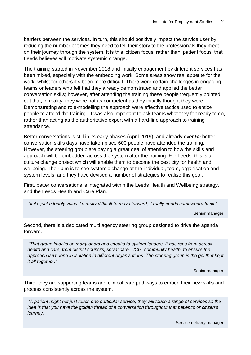barriers between the services. In turn, this should positively impact the service user by reducing the number of times they need to tell their story to the professionals they meet on their journey through the system. It is this 'citizen focus' rather than 'patient focus' that Leeds believes will motivate systemic change.

The training started in November 2018 and initially engagement by different services has been mixed, especially with the embedding work. Some areas show real appetite for the work, whilst for others it's been more difficult. There were certain challenges in engaging teams or leaders who felt that they already demonstrated and applied the better conversation skills; however, after attending the training these people frequently pointed out that, in reality, they were not as competent as they initially thought they were. Demonstrating and role-modelling the approach were effective tactics used to entice people to attend the training. It was also important to ask teams what they felt ready to do, rather than acting as the authoritative expert with a hard-line approach to training attendance.

Better conversations is still in its early phases (April 2019), and already over 50 better conversation skills days have taken place 600 people have attended the training. However, the steering group are paying a great deal of attention to how the skills and approach will be embedded across the system after the training. For Leeds, this is a culture change project which will enable them to become the best city for health and wellbeing. Their aim is to see systemic change at the individual, team, organisation and system levels, and they have devised a number of strategies to realise this goal.

First, better conversations is integrated within the Leeds Health and Wellbeing strategy, and the Leeds Health and Care Plan.

*'If it's just a lonely voice it's really difficult to move forward; it really needs somewhere to sit.'*

Senior manager

Second, there is a dedicated multi agency steering group designed to drive the agenda forward.

*'That group knocks on many doors and speaks to system leaders. It has reps from across health and care, from district councils, social care, CCG, community health, to ensure the approach isn't done in isolation in different organisations. The steering group is the gel that kept it all together.'*

Senior manager

Third, they are supporting teams and clinical care pathways to embed their new skills and process consistently across the system.

*'A patient might not just touch one particular service; they will touch a range of services so the idea is that you have the golden thread of a conversation throughout that patient's or citizen's journey.'* 

Service delivery manager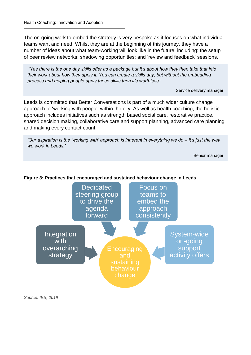The on-going work to embed the strategy is very bespoke as it focuses on what individual teams want and need. Whilst they are at the beginning of this journey, they have a number of ideas about what team-working will look like in the future, including: the setup of peer review networks; shadowing opportunities; and 'review and feedback' sessions.

*'Yes there is the one day skills offer as a package but it's about how they then take that into their work about how they apply it. You can create a skills day, but without the embedding process and helping people apply those skills then it's worthless.'* 

Service delivery manager

Leeds is committed that Better Conversations is part of a much wider culture change approach to 'working with people' within the city. As well as health coaching, the holistic approach includes initiatives such as strength based social care, restorative practice, shared decision making, collaborative care and support planning, advanced care planning and making every contact count.

*'Our aspiration is the 'working with' approach is inherent in everything we do – it's just the way we work in Leeds.'* 

Senior manager

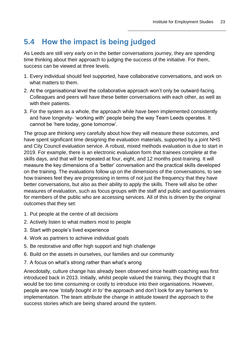# <span id="page-26-0"></span>**5.4 How the impact is being judged**

As Leeds are still very early on in the better conversations journey, they are spending time thinking about their approach to judging the success of the initiative. For them, success can be viewed at three levels.

- 1. Every individual should feel supported, have collaborative conversations, and work on what matters to them.
- 2. At the organisational level the collaborative approach won't only be outward-facing. Colleagues and peers will have these better conversations with each other, as well as with their patients.
- 3. For the system as a whole, the approach while have been implemented consistently and have longevity- 'working with' people being the way Team Leeds operates. It cannot be 'here today, gone tomorrow'.

The group are thinking very carefully about how they will measure these outcomes, and have spent significant time designing the evaluation materials, supported by a joint NHS and City Council evaluation service. A robust, mixed methods evaluation is due to start in 2019. For example, there is an electronic evaluation form that trainees complete at the skills days, and that will be repeated at four, eight, and 12 months post-training. It will measure the key dimensions of a 'better' conversation and the practical skills developed on the training. The evaluations follow up on the dimensions of the conversations, to see how trainees feel they are progressing in terms of not just the frequency that they have better conversations, but also as their ability to apply the skills. There will also be other measures of evaluation, such as focus groups with the staff and public and questionnaires for members of the public who are accessing services. All of this is driven by the original outcomes that they set:

- 1. Put people at the centre of all decisions
- 2. Actively listen to what matters most to people
- 3. Start with people's lived experience
- 4. Work as partners to achieve individual goals
- 5. Be restorative and offer high support and high challenge
- 6. Build on the assets in ourselves, our families and our community
- 7. A focus on what's strong rather than what's wrong

Anecdotally, culture change has already been observed since health coaching was first introduced back in 2013. Initially, whilst people valued the training, they thought that it would be too time consuming or costly to introduce into their organisations. However, people are now '*totally bought in to'* the approach and don't look for any barriers to implementation. The team attribute the change in attitude toward the approach to the success stories which are being shared around the system.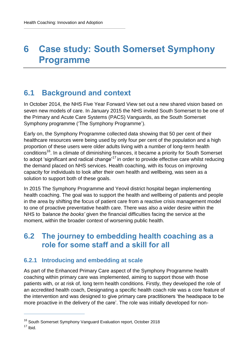# <span id="page-27-0"></span>**6 Case study: South Somerset Symphony Programme**

# <span id="page-27-1"></span>**6.1 Background and context**

In October 2014, the NHS Five Year Forward View set out a new shared vision based on seven new models of care. In January 2015 the NHS invited South Somerset to be one of the Primary and Acute Care Systems (PACS) Vanguards, as the South Somerset Symphony programme ('The Symphony Programme').

Early on, the Symphony Programme collected data showing that 50 per cent of their healthcare resources were being used by only four per cent of the population and a high proportion of these users were older adults living with a number of long-term health conditions<sup>16</sup>. In a climate of diminishing finances, it became a priority for South Somerset to adopt 'significant and radical change'<sup>17</sup> in order to provide effective care whilst reducing the demand placed on NHS services. Health coaching, with its focus on improving capacity for individuals to look after their own health and wellbeing, was seen as a solution to support both of these goals.

In 2015 The Symphony Programme and Yeovil district hospital began implementing health coaching. The goal was to support the health and wellbeing of patients and people in the area by shifting the focus of patient care from a reactive crisis management model to one of proactive preventative health care. There was also a wider desire within the NHS to *'balance the books'* given the financial difficulties facing the service at the moment, within the broader context of worsening public health.

### <span id="page-27-2"></span>**6.2 The journey to embedding health coaching as a role for some staff and a skill for all**

### **6.2.1 Introducing and embedding at scale**

As part of the Enhanced Primary Care aspect of the Symphony Programme health coaching within primary care was implemented, aiming to support those with those patients with, or at risk of, long term health conditions. Firstly, they developed the role of an accredited health coach, Designating a specific health coach role was a core feature of the intervention and was designed to give primary care practitioners 'the headspace to be more proactive in the delivery of the care'. The role was initially developed for non-

 $17$  Ibid.

<sup>&</sup>lt;sup>16</sup> South Somerset Symphony Vanguard Evaluation report, October 2018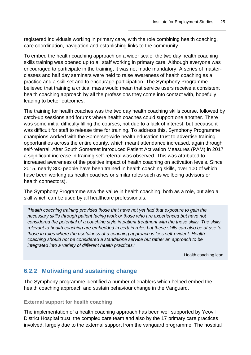registered individuals working in primary care, with the role combining health coaching, care coordination, navigation and establishing links to the community.

To embed the health coaching approach on a wider scale, the two day health coaching skills training was opened up to all staff working in primary care. Although everyone was encouraged to participate in the training, it was not made mandatory. A series of masterclasses and half day seminars were held to raise awareness of health coaching as a practice and a skill set and to encourage participation. The Symphony Programme believed that training a critical mass would mean that service users receive a consistent health coaching approach by all the professions they come into contact with, hopefully leading to better outcomes.

The training for health coaches was the two day health coaching skills course, followed by catch-up sessions and forums where health coaches could support one another. There was some initial difficulty filling the courses, not due to a lack of interest, but because it was difficult for staff to release time for training. To address this, Symphony Programme champions worked with the Somerset-wide health education trust to advertise training opportunities across the entire county, which meant attendance increased, again through self-referral. After South Somerset introduced Patient Activation Measures (PAM) in 2017 a significant increase in training self-referral was observed. This was attributed to increased awareness of the positive impact of health coaching on activation levels. Since 2015, nearly 300 people have been trained in health coaching skills, over 100 of which have been working as health coaches or similar roles such as wellbeing advisors or health connectors).

The Symphony Programme saw the value in health coaching, both as a role, but also a skill which can be used by all healthcare professionals.

*'Health coaching training provides those that have not yet had that exposure to gain the necessary skills through patient facing work or those who are experienced but have not considered the potential of a coaching style in patient treatment with the these skills. The skills*  relevant to health coaching are embedded in certain roles but these skills can also be of use to *those in roles where the usefulness of a coaching approach is less self-evident. Health coaching should not be considered a standalone service but rather an approach to be integrated into a variety of different health practices.'* 

Health coaching lead

### **6.2.2 Motivating and sustaining change**

The Symphony programme identified a number of enablers which helped embed the health coaching approach and sustain behaviour change in the Vanguard.

#### **External support for health coaching**

The implementation of a health coaching approach has been well supported by Yeovil District Hospital trust, the complex care team and also by the 17 primary care practices involved, largely due to the external support from the vanguard programme. The hospital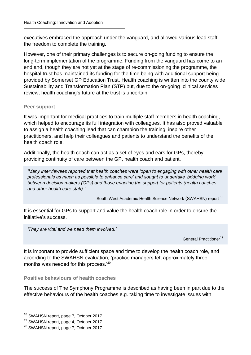executives embraced the approach under the vanguard, and allowed various lead staff the freedom to complete the training.

However, one of their primary challenges is to secure on-going funding to ensure the long-term implementation of the programme. Funding from the vanguard has come to an end and, though they are not yet at the stage of re-commissioning the programme, the hospital trust has maintained its funding for the time being with additional support being provided by Somerset GP Education Trust. Health coaching is written into the county wide Sustainability and Transformation Plan (STP) but, due to the on-going clinical services review, health coaching's future at the trust is uncertain.

#### **Peer support**

It was important for medical practices to train multiple staff members in health coaching, which helped to encourage its full integration with colleagues. It has also proved valuable to assign a health coaching lead that can champion the training, inspire other practitioners, and help their colleagues and patients to understand the benefits of the health coach role.

Additionally, the health coach can act as a set of eyes and ears for GPs, thereby providing continuity of care between the GP, health coach and patient.

*'Many interviewees reported that health coaches were 'open to engaging with other health care professionals as much as possible to enhance care' and sought to undertake 'bridging work' between decision makers (GPs) and those enacting the support for patients (health coaches and other health care staff).'*

South West Academic Health Science Network (SWAHSN) report<sup>18</sup>

It is essential for GPs to support and value the health coach role in order to ensure the initiative's success.

*'They are vital and we need them involved.'* 

General Practitioner<sup>19</sup>

It is important to provide sufficient space and time to develop the health coach role, and according to the SWAHSN evaluation, 'practice managers felt approximately three months was needed for this process.'<sup>20</sup>

**Positive behaviours of health coaches**

The success of The Symphony Programme is described as having been in part due to the effective behaviours of the health coaches e.g. taking time to investigate issues with

<sup>&</sup>lt;sup>18</sup> SWAHSN report, page 7, October 2017

<sup>19</sup> SWAHSN report, page 4, October 2017

<sup>20</sup> SWAHSN report, page 7, October 2017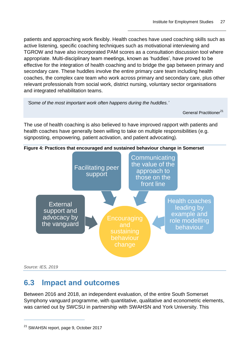patients and approaching work flexibly. Health coaches have used coaching skills such as active listening, specific coaching techniques such as motivational interviewing and TGROW and have also incorporated PAM scores as a consultation discussion tool where appropriate. Multi-disciplinary team meetings, known as 'huddles', have proved to be effective for the integration of health coaching and to bridge the gap between primary and secondary care. These huddles involve the entire primary care team including health coaches, the complex care team who work across primary and secondary care, plus other relevant professionals from social work, district nursing, voluntary sector organisations and integrated rehabilitation teams.

*'Some of the most important work often happens during the huddles.'* 

General Practitioner<sup>21</sup>

The use of health coaching is also believed to have improved rapport with patients and health coaches have generally been willing to take on multiple responsibilities (e.g. signposting, empowering, patient activation, and patient advocating).



*Source: IES, 2019*

 $\overline{a}$ 

### <span id="page-30-0"></span>**6.3 Impact and outcomes**

Between 2016 and 2018, an independent evaluation, of the entire South Somerset Symphony vanguard programme, with quantitative, qualitative and econometric elements, was carried out by SWCSU in partnership with SWAHSN and York University. This

<sup>21</sup> SWAHSN report, page 9, October 2017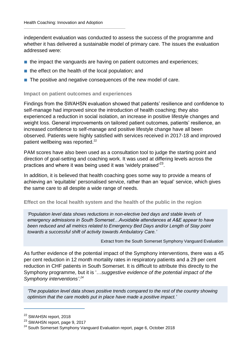independent evaluation was conducted to assess the success of the programme and whether it has delivered a sustainable model of primary care. The issues the evaluation addressed were:

- the impact the vanguards are having on patient outcomes and experiences;
- the effect on the health of the local population; and
- The positive and negative consequences of the new model of care.

#### **Impact on patient outcomes and experiences**

Findings from the SWAHSN evaluation showed that patients' resilience and confidence to self-manage had improved since the introduction of health coaching; they also experienced a reduction in social isolation, an increase in positive lifestyle changes and weight loss. General improvements on tailored patient outcomes, patients' resilience, an increased confidence to self-manage and positive lifestyle change have all been observed. Patients were highly satisfied with services received in 2017-18 and improved patient wellbeing was reported.<sup>22</sup>

PAM scores have also been used as a consultation tool to judge the starting point and direction of goal-setting and coaching work. It was used at differing levels across the practices and where it was being used it was 'widely praised'<sup>23</sup>.

In addition, it is believed that health coaching goes some way to provide a means of achieving an 'equitable' personalised service, rather than an 'equal' service, which gives the same care to all despite a wide range of needs.

#### **Effect on the local health system and the health of the public in the region**

*'Population level data shows reductions in non-elective bed days and stable levels of emergency admissions in South Somerset…Avoidable attendances at A&E appear to have been reduced and all metrics related to Emergency Bed Days and/or Length of Stay point towards a successful shift of activity towards Ambulatory Care.'*

Extract from the South Somerset Symphony Vanguard Evaluation

As further evidence of the potential impact of the Symphony interventions, there was a 45 per cent reduction in 12 month mortality rates in respiratory patients and a 29 per cent reduction in CHF patients in South Somerset. It is difficult to attribute this directly to the Symphony programme, but it is '…*suggestive evidence of the potential impact of the Symphony interventions'.<sup>24</sup>*

*'The population level data shows positive trends compared to the rest of the country showing optimism that the care models put in place have made a positive impact.'*

<sup>&</sup>lt;sup>22</sup> SWAHSN report, 2018

<sup>23</sup> SWAHSN report, page 9, 2017

<sup>&</sup>lt;sup>24</sup> South Somerset Symphony Vanguard Evaluation report, page 6, October 2018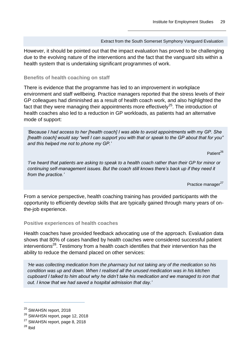#### Extract from the South Somerset Symphony Vanguard Evaluation

However, it should be pointed out that the impact evaluation has proved to be challenging due to the evolving nature of the interventions and the fact that the vanguard sits within a health system that is undertaking significant programmes of work.

#### **Benefits of health coaching on staff**

There is evidence that the programme has led to an improvement in workplace environment and staff wellbeing. Practice managers reported that the stress levels of their GP colleagues had diminished as a result of health coach work, and also highlighted the fact that they were managing their appointments more effectively<sup>25</sup>. The introduction of health coaches also led to a reduction in GP workloads, as patients had an alternative mode of support:

*'Because I had access to her [health coach] I was able to avoid appointments with my GP. She [health coach] would say "well I can support you with that or speak to the GP about that for you" and this helped me not to phone my GP.'*

Patient<sup>26</sup>

*'I've heard that patients are asking to speak to a health coach rather than their GP for minor or continuing self-management issues. But the coach still knows there's back up if they need it from the practice.'*

Practice manager<sup>27</sup>

From a service perspective, health coaching training has provided participants with the opportunity to efficiently develop skills that are typically gained through many years of onthe-job experience.

#### **Positive experiences of health coaches**

Health coaches have provided feedback advocating use of the approach. Evaluation data shows that 80% of cases handled by health coaches were considered successful patient interventions<sup>28</sup>. Testimony from a health coach identifies that their intervention has the ability to reduce the demand placed on other services:

*'He was collecting medication from the pharmacy but not taking any of the medication so his condition was up and down. When I realised all the unused medication was in his kitchen cupboard I talked to him about why he didn't take his medication and we managed to iron that out. I know that we had saved a hospital admission that day.'* 

<sup>&</sup>lt;sup>25</sup> SWAHSN report, 2018

<sup>&</sup>lt;sup>26</sup> SWAHSN report, page 12, 2018

<sup>&</sup>lt;sup>27</sup> SWAHSN report, page 8, 2018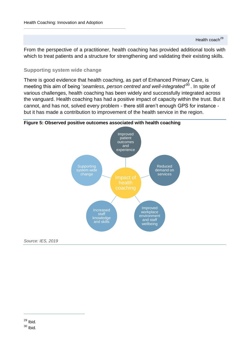From the perspective of a practitioner, health coaching has provided additional tools with which to treat patients and a structure for strengthening and validating their existing skills.

#### **Supporting system wide change**

There is good evidence that health coaching, as part of Enhanced Primary Care, is meeting this aim of being '*seamless, person centred and well-integrated'*<sup>30</sup> . In spite of various challenges, health coaching has been widely and successfully integrated across the vanguard. Health coaching has had a positive impact of capacity within the trust. But it cannot, and has not, solved every problem - there still aren't enough GPS for instance but it has made a contribution to improvement of the health service in the region.





*Source: IES, 2019*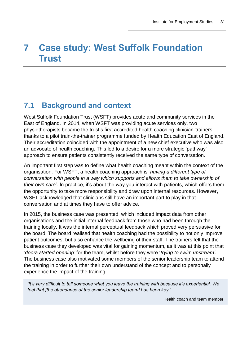# <span id="page-34-0"></span>**7 Case study: West Suffolk Foundation Trust**

## <span id="page-34-1"></span>**7.1 Background and context**

West Suffolk Foundation Trust (WSFT) provides acute and community services in the East of England. In 2014, when WSFT was providing acute services only, two physiotherapists became the trust's first accredited health coaching clinician-trainers thanks to a pilot train-the-trainer programme funded by Health Education East of England. Their accreditation coincided with the appointment of a new chief executive who was also an advocate of health coaching. This led to a desire for a more strategic 'pathway' approach to ensure patients consistently received the same type of conversation.

An important first step was to define what health coaching meant within the context of the organisation. For WSFT, a health coaching approach is *'having a different type of conversation with people in a way which supports and allows them to take ownership of their own care*'. In practice, it's about the way you interact with patients, which offers them the opportunity to take more responsibility and draw upon internal resources. However, WSFT acknowledged that clinicians still have an important part to play in that conversation and at times they have to offer advice.

In 2015, the business case was presented, which included impact data from other organisations and the initial internal feedback from those who had been through the training locally. It was the internal perceptual feedback which proved very persuasive for the board. The board realised that health coaching had the possibility to not only improve patient outcomes, but also enhance the wellbeing of their staff. The trainers felt that the business case they developed was vital for gaining momentum, as it was at this point that *'doors started opening'* for the team, whilst before they were '*trying to swim upstream'*. The business case also motivated some members of the senior leadership team to attend the training in order to further their own understand of the concept and to personally experience the impact of the training.

*'It's very difficult to tell someone what you leave the training with because it's experiential. We feel that [the attendance of the senior leadership team] has been key.'* 

Health coach and team member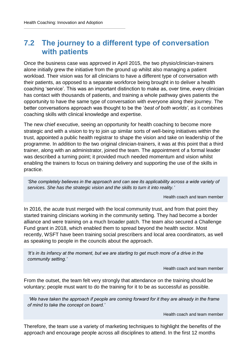## <span id="page-35-0"></span>**7.2 The journey to a different type of conversation with patients**

Once the business case was approved in April 2015, the two physio/clinician-trainers alone initially grew the initiative from the ground up whilst also managing a patient workload. Their vision was for all clinicians to have a different type of conversation with their patients, as opposed to a separate workforce being brought in to deliver a health coaching 'service'. This was an important distinction to make as, over time, every clinician has contact with thousands of patients, and training a whole pathway gives patients the opportunity to have the same type of conversation with everyone along their journey. The better conversations approach was thought to be the '*best of both worlds'*, as it combines coaching skills with clinical knowledge and expertise.

The new chief executive, seeing an opportunity for health coaching to become more strategic and with a vision to try to join up similar sorts of well-being initiatives within the trust, appointed a public health registrar to shape the vision and take on leadership of the programme. In addition to the two original clinician-trainers, it was at this point that a third trainer, along with an administrator, joined the team. The appointment of a formal leader was described a turning point; it provided much needed momentum and vision whilst enabling the trainers to focus on training delivery and supporting the use of the skills in practice.

*'She completely believes in the approach and can see its applicability across a wide variety of services. She has the strategic vision and the skills to turn it into reality.'*

Health coach and team member

In 2016, the acute trust merged with the local community trust, and from that point they started training clinicians working in the community setting. They had become a border alliance and were training on a much broader patch. The team also secured a Challenge Fund grant in 2018, which enabled them to spread beyond the health sector. Most recently, WSFT have been training social prescribers and local area coordinators, as well as speaking to people in the councils about the approach.

*'It's in its infancy at the moment, but we are starting to get much more of a drive in the community setting.'*

Health coach and team member

From the outset, the team felt very strongly that attendance on the training should be voluntary; people must want to do the training for it to be as successful as possible.

*'We have taken the approach if people are coming forward for it they are already in the frame of mind to take the concept on board.'*

Health coach and team member

Therefore, the team use a variety of marketing techniques to highlight the benefits of the approach and encourage people across all disciplines to attend. In the first 12 months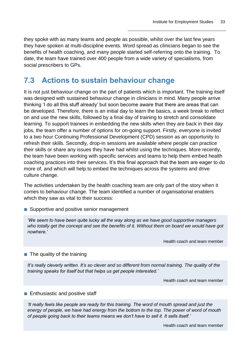they spoke with as many teams and people as possible, whilst over the last few years they have spoken at multi-discipline events. Word spread as clinicians began to see the benefits of health coaching, and many people started self-referring onto the training. To date, the team have trained over 400 people from a wide variety of specialisms, from social prescribers to GPs.

### <span id="page-36-0"></span>**7.3 Actions to sustain behaviour change**

It is not just behaviour change on the part of patients which is important. The training itself was designed with sustained behaviour change in clinicians in mind. Many people arrive thinking 'I do all this stuff already' but soon become aware that there are areas that can be developed. Therefore, there is an initial day to learn the basics, a week break to reflect on and use the new skills, followed by a final day of training to stretch and consolidate learning. To support trainees in embedding the new skills when they are back in their day jobs, the team offer a number of options for on-going support. Firstly, everyone is invited to a two hour Continuing Professional Development (CPD) session as an opportunity to refresh their skills. Secondly, drop-in sessions are available where people can practice their skills or share any issues they have had whilst using the techniques. More recently, the team have been working with specific services and teams to help them embed health coaching practices into their services. It's this final approach that the team are eager to do more of, and which will help to embed the techniques across the systems and drive culture change.

The activities undertaken by the health coaching team are only part of the story when it comes to behaviour change. The team identified a number of organisational enablers which they saw as vital to their success:

■ Supportive and positive senior management

*'We seem to have been quite lucky all the way along as we have good supportive managers who totally get the concept and see the benefits of it. Without them on board we would have got nowhere.'*

Health coach and team member

#### ■ The quality of the training

*It's really cleverly written. It's so clever and so different from normal training. The quality of the training speaks for itself but that helps us get people interested.'* 

Health coach and team member

#### ■ Enthusiastic and positive staff

*'It really feels like people are ready for this training. The word of mouth spread and just the energy of people, we have had energy from the bottom to the top. The power of word of mouth of people going back to their teams means we don't have to sell it. It sells itself.'* 

Health coach and team member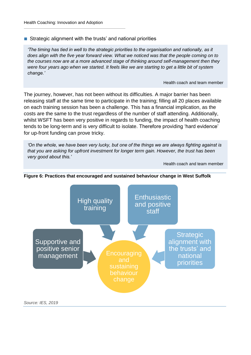■ Strategic alignment with the trusts' and national priorities

*'The timing has tied in well to the strategic priorities to the organisation and nationally, as it does align with the five year forward view. What we noticed was that the people coming on to the courses now are at a more advanced stage of thinking around self-management then they were four years ago when we started. It feels like we are starting to get a little bit of system change.'*

Health coach and team member

The journey, however, has not been without its difficulties. A major barrier has been releasing staff at the same time to participate in the training; filling all 20 places available on each training session has been a challenge. This has a financial implication, as the costs are the same to the trust regardless of the number of staff attending. Additionally, whilst WSFT has been very positive in regards to funding, the impact of health coaching tends to be long-term and is very difficult to isolate. Therefore providing 'hard evidence' for up-front funding can prove tricky.

*'On the whole, we have been very lucky, but one of the things we are always fighting against is that you are asking for upfront investment for longer term gain. However, the trust has been very good about this.'* 

Health coach and team member



#### **Figure 6: Practices that encouraged and sustained behaviour change in West Suffolk**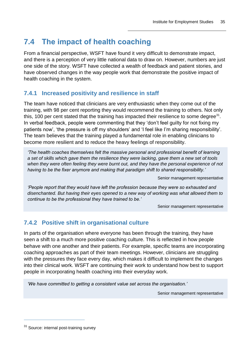# <span id="page-38-0"></span>**7.4 The impact of health coaching**

From a financial perspective, WSFT have found it very difficult to demonstrate impact, and there is a perception of very little national data to draw on. However, numbers are just one side of the story. WSFT have collected a wealth of feedback and patient stories, and have observed changes in the way people work that demonstrate the positive impact of health coaching in the system.

### **7.4.1 Increased positivity and resilience in staff**

The team have noticed that clinicians are very enthusiastic when they come out of the training, with 98 per cent reporting they would recommend the training to others. Not only this, 100 per cent stated that the training has impacted their resilience to some degree $31$ . In verbal feedback, people were commenting that they 'don't feel guilty for not fixing my patients now', 'the pressure is off my shoulders' and 'I feel like I'm sharing responsibility'. The team believes that the training played a fundamental role in enabling clinicians to become more resilient and to reduce the heavy feelings of responsibility.

*'The health coaches themselves felt the massive personal and professional benefit of learning a set of skills which gave them the resilience they were lacking, gave them a new set of tools when they were often feeling they were burnt out, and they have the personal experience of not having to be the fixer anymore and making that paradigm shift to shared responsibility.'* 

Senior management representative

*'People report that they would have left the profession because they were so exhausted and disenchanted. But having their eyes opened to a new way of working was what allowed them to continue to be the professional they have trained to be.'* 

Senior management representative

### **7.4.2 Positive shift in organisational culture**

In parts of the organisation where everyone has been through the training, they have seen a shift to a much more positive coaching culture. This is reflected in how people behave with one another and their patients. For example, specific teams are incorporating coaching approaches as part of their team meetings. However, clinicians are struggling with the pressures they face every day, which makes it difficult to implement the changes into their clinical work. WSFT are continuing their work to understand how best to support people in incorporating health coaching into their everyday work.

*'We have committed to getting a consistent value set across the organisation.'* 

Senior management representative

<sup>&</sup>lt;sup>31</sup> Source: internal post-training survey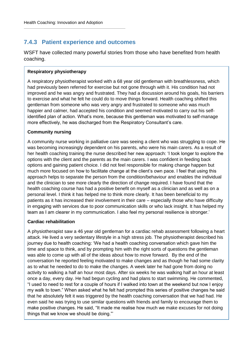### **7.4.3 Patient experience and outcomes**

WSFT have collected many powerful stories from those who have benefited from health coaching.

#### **Respiratory physiotherapy**

A respiratory physiotherapist worked with a 68 year old gentleman with breathlessness, which had previously been referred for exercise but not gone through with it. His condition had not improved and he was angry and frustrated. They had a discussion around his goals, his barriers to exercise and what he felt he could do to move things forward. Health coaching shifted this gentleman from someone who was very angry and frustrated to someone who was much happier and calmer, had accepted his condition and seemed motivated to carry out his selfidentified plan of action. What's more, because this gentleman was motivated to self-manage more effectively, he was discharged from the Respiratory Consultant's care.

#### **Community nursing**

A community nurse working in palliative care was seeing a client who was struggling to cope. He was becoming increasingly dependent on his parents, who were his main carers. As a result of her health coaching training the nurse described her new approach: 'I took longer to explore the options with the client and the parents as the main carers. I was confident in feeding back options and gaining patient choice. I did not feel responsible for making change happen but much more focused on how to facilitate change at the client's own pace. I feel that using this approach helps to separate the person from the condition/behaviour and enables the individual and the clinician to see more clearly the direction of change required. I have found that the health coaching course has had a positive benefit on myself as a clinician and as well as on a personal level. I think it has helped me to think more clearly. It has been beneficial to my patients as it has increased their involvement in their care – especially those who have difficulty in engaging with services due to poor communication skills or who lack insight. It has helped my team as I am clearer in my communication. I also feel my personal resilience is stronger.'

#### **Cardiac rehabilitation**

A physiotherapist saw a 46 year old gentleman for a cardiac rehab assessment following a heart attack. He lived a very sedentary lifestyle in a high stress job. The physiotherapist described his journey due to health coaching: 'We had a health coaching conversation which gave him the time and space to think, and by prompting him with the right sorts of questions the gentleman was able to come up with all of the ideas about how to move forward. By the end of the conversation he reported feeling motivated to make changes and as though he had some clarity as to what he needed to do to make the changes. A week later he had gone from doing no activity to walking a half an hour most days. After six weeks he was walking half an hour at least once a day, every day. He had begun cycling and had plans to start swimming. He commented, "I used to need to rest for a couple of hours if I walked into town at the weekend but now I enjoy my walk to town." When asked what he felt had prompted this series of positive changes he said that he absolutely felt it was triggered by the health coaching conversation that we had had. He even said he was trying to use similar questions with friends and family to encourage them to make positive changes. He said, "It made me realise how much we make excuses for not doing things that we know we should be doing."'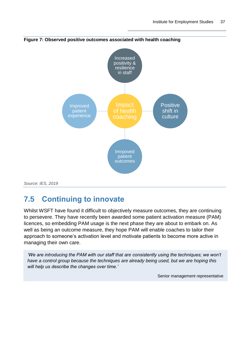

#### **Figure 7: Observed positive outcomes associated with health coaching**

*Source: IES, 2019*

## <span id="page-40-0"></span>**7.5 Continuing to innovate**

Whilst WSFT have found it difficult to objectively measure outcomes, they are continuing to persevere. They have recently been awarded some patient activation measure (PAM) licences, so embedding PAM usage is the next phase they are about to embark on. As well as being an outcome measure, they hope PAM will enable coaches to tailor their approach to someone's activation level and motivate patients to become more active in managing their own care.

*'We are introducing the PAM with our staff that are consistently using the techniques; we won't have a control group because the techniques are already being used, but we are hoping this will help us describe the changes over time.'*

Senior management representative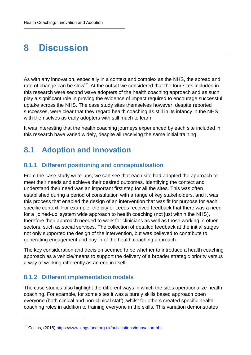# <span id="page-41-0"></span>**8 Discussion**

As with any innovation, especially in a context and complex as the NHS, the spread and rate of change can be slow<sup>32</sup>. At the outset we considered that the four sites included in this research were second wave adopters of the health coaching approach and as such play a significant role in proving the evidence of impact required to encourage successful uptake across the NHS. The case study sites themselves however, despite reported successes, were clear that they regard health coaching as still in its infancy in the NHS with themselves as early adopters with still much to learn.

It was interesting that the health coaching journeys experienced by each site included in this research have varied widely, despite all receiving the same initial training.

## <span id="page-41-1"></span>**8.1 Adoption and innovation**

### **8.1.1 Different positioning and conceptualisation**

From the case study write-ups, we can see that each site had adapted the approach to meet their needs and achieve their desired outcomes. Identifying the context and understand their need was an important first step for all the sites. This was often established during a period of consultation with a range of key stakeholders, and it was this process that enabled the design of an intervention that was fit for purpose for each specific context. For example, the city of Leeds received feedback that there was a need for a 'joined-up' system wide approach to health coaching (not just within the NHS), therefore their approach needed to work for clinicians as well as those working in other sectors, such as social services. The collection of detailed feedback at the initial stages not only supported the design of the intervention, but was believed to contribute to generating engagement and buy-in of the health coaching approach.

The key consideration and decision seemed to be whether to introduce a health coaching approach as a vehicle/means to support the delivery of a broader strategic priority versus a way of working differently as an end in itself.

### **8.1.2 Different implementation models**

 $\overline{a}$ 

The case studies also highlight the different ways in which the sites operationalize health coaching. For example, for some sites it was a purely skills based approach open everyone (both clinical and non-clinical staff), whilst for others created specific health coaching roles in addition to training everyone in the skills. This variation demonstrates

<sup>&</sup>lt;sup>32</sup> Collins, (2018)<https://www.kingsfund.org.uk/publications/innovation-nhs>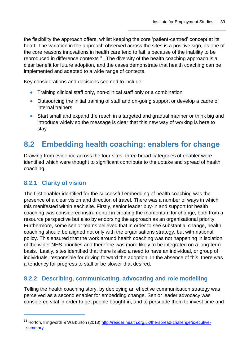the flexibility the approach offers, whilst keeping the core 'patient-centred' concept at its heart. The variation in the approach observed across the sites is a positive sign, as one of the core reasons innovations in health care tend to fail is because of the inability to be reproduced in difference contexts<sup>33</sup>. The diversity of the health coaching approach is a clear benefit for future adoption, and the cases demonstrate that health coaching can be implemented and adapted to a wide range of contexts.

Key considerations and decisions seemed to include:

- **●** Training clinical staff only, non-clinical staff only or a combination
- **●** Outsourcing the initial training of staff and on-going support or develop a cadre of internal trainers
- **●** Start small and expand the reach in a targeted and gradual manner or think big and introduce widely so the message is clear that this new way of working is here to stay

### <span id="page-42-0"></span>**8.2 Embedding health coaching: enablers for change**

Drawing from evidence across the four sites, three broad categories of enabler were identified which were thought to significant contribute to the uptake and spread of health coaching.

### **8.2.1 Clarity of vision**

 $\overline{a}$ 

The first enabler identified for the successful embedding of health coaching was the presence of a clear vision and direction of travel. There was a number of ways in which this manifested within each site. Firstly, senior leader buy-in and support for health coaching was considered instrumental in creating the momentum for change, both from a resource perspective but also by endorsing the approach as an organisational priority. Furthermore, some senior teams believed that in order to see substantial change, health coaching should be aligned not only with the organisations strategy, but with national policy. This ensured that the work around health coaching was not happening in isolation of the wider NHS priorities and therefore was more likely to be integrated on a long-term basis. Lastly, sites identified that there is also a need to have an individual, or group of individuals, responsible for driving forward the adoption. In the absence of this, there was a tendency for progress to stall or be slower that desired.

### **8.2.2 Describing, communicating, advocating and role modelling**

Telling the health coaching story, by deploying an effective communication strategy was perceived as a second enabler for embedding change. Senior leader advocacy was considered vital in order to get people bought-in, and to persuade them to invest time and

<sup>33</sup> Horton, Illingworth & Warburton (2018) [http://reader.health.org.uk/the-spread-challenge/executive](http://reader.health.org.uk/the-spread-challenge/executive-summary)**[summary](http://reader.health.org.uk/the-spread-challenge/executive-summary)**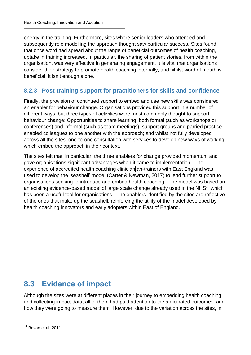energy in the training. Furthermore, sites where senior leaders who attended and subsequently role modelling the approach thought saw particular success. Sites found that once word had spread about the range of beneficial outcomes of health coaching, uptake in training increased. In particular, the sharing of patient stories, from within the organisation, was very effective in generating engagement. It is vital that organisations consider their strategy to promote health coaching internally, and whilst word of mouth is beneficial, it isn't enough alone.

### **8.2.3 Post-training support for practitioners for skills and confidence**

Finally, the provision of continued support to embed and use new skills was considered an enabler for behaviour change. Organisations provided this support in a number of different ways, but three types of activities were most commonly thought to support behaviour change: Opportunities to share learning, both formal (such as workshops or conferences) and informal (such as team meetings); support groups and parried practice enabled colleagues to one another with the approach; and whilst not fully developed across all the sites, one-to-one consultation with services to develop new ways of working which embed the approach in their context.

The sites felt that, in particular, the three enablers for change provided momentum and gave organisations significant advantages when it came to implementation. The experience of accredited health coaching clinician an-trainers with East England was used to develop the 'seashell' model (Carter & Newman, 2017) to lend further support to organisations seeking to introduce and embed health coaching . The model was based on an existing evidence-based model of large scale change already used in the  $NHS<sup>34</sup>$  which has been a useful tool for organisations. The enablers identified by the sites are reflective of the ones that make up the seashell, reinforcing the utility of the model developed by health coaching innovators and early adopters within East of England.

### <span id="page-43-0"></span>**8.3 Evidence of impact**

Although the sites were at different places in their journey to embedding health coaching and collecting impact data, all of them had paid attention to the anticipated outcomes, and how they were going to measure them. However, due to the variation across the sites, in

 $34$  Bevan et al, 2011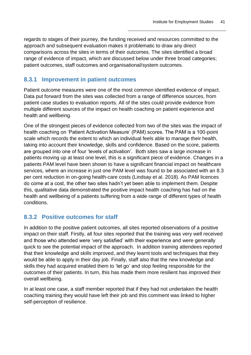regards to stages of their journey, the funding received and resources committed to the approach and subsequent evaluation makes it problematic to draw any direct comparisons across the sites in terms of their outcomes. The sites identified a broad range of evidence of impact, which are discussed below under three broad categories; patient outcomes, staff outcomes and organisational/system outcomes.

### **8.3.1 Improvement in patient outcomes**

Patient outcome measures were one of the most common identified evidence of impact. Data put forward from the sites was collected from a range of difference sources, from patient case studies to evaluation reports. All of the sites could provide evidence from multiple different sources of the impact on health coaching on patient experience and health and wellbeing.

One of the strongest pieces of evidence collected from two of the sites was the impact of health coaching on 'Patient Activation Measure' (PAM) scores. The PAM is a 100-point scale which records the extent to which an individual feels able to manage their health, taking into account their knowledge, skills and confidence. Based on the score, patients are grouped into one of four 'levels of activation'. Both sites saw a large increase in patients moving up at least one level, this is a significant piece of evidence. Changes in a patients PAM level have been shown to have a significant financial impact on healthcare services, where an increase in just one PAM level was found to be associated with an 8.3 per cent reduction in on-going health-care costs (Lindsay et al. 2018). As PAM licences do come at a cost, the other two sites hadn't yet been able to implement them. Despite this, qualitative data demonstrated the positive impact health coaching has had on the health and wellbeing of a patients suffering from a wide range of different types of health conditions.

### **8.3.2 Positive outcomes for staff**

In addition to the positive patient outcomes, all sites reported observations of a positive impact on their staff. Firstly, all four sites reported that the training was very well received and those who attended were 'very satisfied' with their experience and were generally quick to see the potential impact of the approach. In addition training attendees reported that their knowledge and skills improved, and they learnt tools and techniques that they would be able to apply in their day job. Finally, staff also that the new knowledge and skills they had acquired enabled them to 'let go' and stop feeling responsible for the outcomes of their patients. In turn, this has made them more resilient has improved their overall wellbeing.

In at least one case, a staff member reported that if they had not undertaken the health coaching training they would have left their job and this comment was linked to higher self-perception of resilience.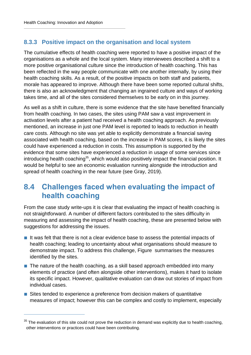$\overline{a}$ 

### **8.3.3 Positive impact on the organisation and local system**

The cumulative effects of health coaching were reported to have a positive impact of the organisations as a whole and the local system. Many interviewees described a shift to a more positive organisational culture since the introduction of health coaching. This has been reflected in the way people communicate with one another internally, by using their health coaching skills. As a result, of the positive impacts on both staff and patients, morale has appeared to improve. Although there have been some reported cultural shifts, there is also an acknowledgment that changing an ingrained culture and ways of working takes time, and all of the sites considered themselves to be early on in this journey.

As well as a shift in culture, there is some evidence that the site have benefited financially from health coaching. In two cases, the sites using PAM saw a vast improvement in activation levels after a patient had received a health coaching approach. As previously mentioned, an increase in just one PAM level is reported to leads to reduction in health care costs. Although no site was yet able to explicitly demonstrate a financial saving associated with health coaching, based on the increase in PAM scores, it is likely the sites could have experienced a reduction in costs. This assumption is supported by the evidence that some sites have experienced a reduction in usage of some services since introducing health coaching<sup>35</sup>, which would also positively impact the financial position. It would be helpful to see an economic evaluation running alongside the introduction and spread of health coaching in the near future (see Gray, 2019).

### <span id="page-45-0"></span>**8.4 Challenges faced when evaluating the impact of health coaching**

From the case study write-ups it is clear that evaluating the impact of health coaching is not straightforward. A number of different factors contributed to the sites difficulty in measuring and assessing the impact of health coaching, these are presented below with suggestions for addressing the issues.

- It was felt that there is not a clear evidence base to assess the potential impacts of health coaching; leading to uncertainty about what organisations should measure to demonstrate impact. To address this challenge, [Figure](#page-47-1) summarises the measures identified by the sites.
- The nature of the health coaching, as a skill based approach embedded into many elements of practice (and often alongside other interventions), makes it hard to isolate its specific impact. However, qualitative evaluation can draw out stories of impact from individual cases.
- Sites tended to experience a preference from decision makers of quantitative measures of impact; however this can be complex and costly to implement, especially

 $35$  The evaluation of this site could not prove the reduction in demand was explicitly due to health coaching, other interventions or practices could have been contributing.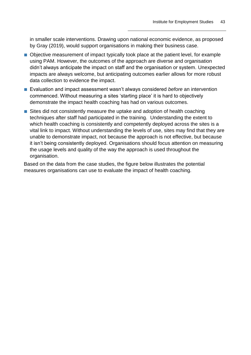in smaller scale interventions. Drawing upon national economic evidence, as proposed by Gray (2019), would support organisations in making their business case.

- Objective measurement of impact typically took place at the patient level, for example using PAM. However, the outcomes of the approach are diverse and organisation didn't always anticipate the impact on staff and the organisation or system. Unexpected impacts are always welcome, but anticipating outcomes earlier allows for more robust data collection to evidence the impact.
- Evaluation and impact assessment wasn't always considered *before* an intervention commenced. Without measuring a sites 'starting place' it is hard to objectively demonstrate the impact health coaching has had on various outcomes.
- Sites did not consistently measure the uptake and adoption of health coaching techniques after staff had participated in the training. Understanding the extent to which health coaching is consistently and competently deployed across the sites is a vital link to impact. Without understanding the levels of use, sites may find that they are unable to demonstrate impact, not because the approach is not effective, but because it isn't being consistently deployed. Organisations should focus attention on measuring the usage levels and quality of the way the approach is used throughout the organisation.

Based on the data from the case studies, the figure below illustrates the potential measures organisations can use to evaluate the impact of health coaching.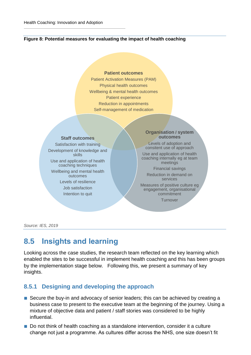#### <span id="page-47-1"></span>**Figure 8: Potential measures for evaluating the impact of health coaching**

#### **Patient outcomes**

Patient Activation Measures (PAM) Physical health outcomes Wellbeing & mental health outcomes Patient experience Reduction in appointments Self-management of medication

#### **Staff outcomes**

Satisfaction with training Development of knowledge and skills Use and application of health coaching techniques Wellbeing and mental health outcomes Levels of resilience Job satisfaction Intention to quit

#### **Organisation / system outcomes**

Levels of adoption and consitent use of approach Use and application of health coaching internally eg at team

meetings Financial savings

Reduction in demand on services

Measures of positive culture eg engagement, organisational commitment

**Turnover** 

*Source: IES, 2019*

### <span id="page-47-0"></span>**8.5 Insights and learning**

Looking across the case studies, the research team reflected on the key learning which enabled the sites to be successful in implement health coaching and this has been groups by the implementation stage below. Following this, we present a summary of key insights.

### **8.5.1 Designing and developing the approach**

- Secure the buy-in and advocacy of senior leaders; this can be achieved by creating a business case to present to the executive team at the beginning of the journey. Using a mixture of objective data and patient / staff stories was considered to be highly influential.
- Do not think of health coaching as a standalone intervention, consider it a culture change not just a programme. As cultures differ across the NHS, one size doesn't fit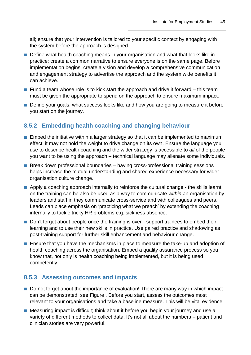all; ensure that your intervention is tailored to your specific context by engaging with the system before the approach is designed.

- Define what health coaching means in your organisation and what that looks like in practice; create a common narrative to ensure everyone is on the same page. Before implementation begins, create a vision and develop a comprehensive communication and engagement strategy to advertise the approach and the system wide benefits it can achieve.
- $\blacksquare$  Fund a team whose role is to kick start the approach and drive it forward this team must be given the appropriate to spend on the approach to ensure maximum impact.
- Define your goals, what success looks like and how you are going to measure it before you start on the journey.

### **8.5.2 Embedding health coaching and changing behaviour**

- Embed the initiative within a larger strategy so that it can be implemented to maximum effect; it may not hold the weight to drive change on its own. Ensure the language you use to describe health coaching and the wider strategy is accessible to *all* of the people you want to be using the approach – technical language may alienate some individuals.
- Break down professional boundaries having cross-professional training sessions helps increase the mutual understanding and shared experience necessary for wider organisation culture change.
- Apply a coaching approach internally to reinforce the cultural change the skills learnt on the training can be also be used as a way to communicate *within* an organisation by leaders and staff in they communicate cross-service and with colleagues and peers. Leads can place emphasis on 'practicing what we preach' by extending the coaching internally to tackle tricky HR problems e.g. sickness absence.
- Don't forget about people once the training is over support trainees to embed their learning and to use their new skills in practice. Use paired practice and shadowing as post-training support for further skill enhancement and behaviour change.
- Ensure that you have the mechanisms in place to measure the take-up and adoption of health coaching across the organisation. Embed a quality assurance process so you know that, not only is health coaching being implemented, but it is being used competently.

### **8.5.3 Assessing outcomes and impacts**

- Do not forget about the importance of evaluation! There are many way in which impact can be demonstrated, see [Figure .](#page-47-1) Before you start, assess the outcomes most relevant to your organisations and take a baseline measure. This will be vital evidence!
- Measuring impact is difficult; think about it before you begin your journey and use a variety of different methods to collect data. It's not all about the numbers – patient and clinician stories are very powerful.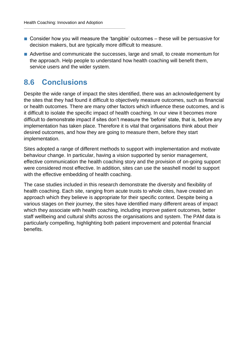- Consider how you will measure the 'tangible' outcomes these will be persuasive for decision makers, but are typically more difficult to measure.
- Advertise and communicate the successes, large and small, to create momentum for the approach. Help people to understand how health coaching will benefit them, service users and the wider system.

### <span id="page-49-0"></span>**8.6 Conclusions**

Despite the wide range of impact the sites identified, there was an acknowledgement by the sites that they had found it difficult to objectively measure outcomes, such as financial or health outcomes. There are many other factors which influence these outcomes, and is it difficult to isolate the specific impact of health coaching. In our view it becomes more difficult to demonstrate impact if sites don't measure the 'before' state, that is, before any implementation has taken place. Therefore it is vital that organisations think about their desired outcomes, and how they are going to measure them, before they start implementation.

Sites adopted a range of different methods to support with implementation and motivate behaviour change. In particular, having a vision supported by senior management, effective communication the health coaching story and the provision of on-going support were considered most effective. In addition, sites can use the seashell model to support with the effective embedding of health coaching.

The case studies included in this research demonstrate the diversity and flexibility of health coaching. Each site, ranging from acute trusts to whole cites, have created an approach which they believe is appropriate for their specific context. Despite being a various stages on their journey, the sites have identified many different areas of impact which they associate with health coaching, including improve patient outcomes, better staff wellbeing and cultural shifts across the organisations and system. The PAM data is particularly compelling, highlighting both patient improvement and potential financial benefits.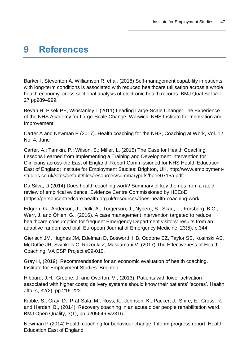# <span id="page-50-0"></span>**9 References**

Barker I, Steventon A, Williamson R, et al. (2018) Self-management capability in patients with long-term conditions is associated with reduced healthcare utilisation across a whole health economy: cross-sectional analysis of electronic health records. BMJ Qual Saf Vol 27 pp989–999.

Bevan H, Plsek PE, Winstanley L (2011) Leading Large-Scale Change: The Experience of the NHS Academy for Large-Scale Change. Warwick: NHS Institute for Innovation and Improvement.

Carter A and Newman P (2017). Health coaching for the NHS, Coaching at Work, Vol. 12 No. 4, June

Carter, A.; Tamkin, P.; Wilson, S.; Miller, L. (2015) The Case for Health Coaching: Lessons Learned from Implementing a Training and Development Intervention for Clinicians across the East of England; Report Commissioned for NHS Health Education East of England; Institute for Employment Studies: Brighton, UK, http://www.employmentstudies.co.uk/sites/default/files/resources/summarypdfs/heee0715a.pdf.

Da Silva, D (2014) Does health coaching work? Summary of key themes from a rapid review of empirical evidence, Evidence Centre Commissioned by HEEoE (https://personcentredcare.health.org.uk/resources/does-health-coaching-work

Edgren, G., Anderson, J., Dolk, A., Torgerson, J., Nyberg, S., Skau, T., Forsberg, B.C., Werr, J. and Öhlen, G., (2016). A case management intervention targeted to reduce healthcare consumption for frequent Emergency Department visitors: results from an adaptive randomized trial. European Journal of Emergency Medicine, 23(5), p.344.

Gierisch JM, Hughes JM, Edelman D, Bosworth HB, Oddone EZ, Taylor SS, Kosinski AS, McDuffie JR, Swinkels C, Razouki Z, Masilamani V. (2017) The Effectiveness of Health Coaching. VA ESP Project #09-010.

Gray H, (2019). Recommendations for an economic evaluation of health coaching. Institute for Employment Studies: Brighton

Hibbard, J.H., Greene, J. and Overton, V., (2013). Patients with lower activation associated with higher costs; delivery systems should know their patients' 'scores'. Health affairs, 32(2), pp.216-222.

Kibble, S., Gray, D., Prat-Sala, M., Ross, K., Johnson, K., Packer, J., Shire, E., Cross, R. and Harden, B., (2014). Recovery coaching in an acute older people rehabilitation ward. BMJ Open Quality, 3(1), pp.u205646-w2316.

Newman P (2014) Health coaching for behaviour change: Interim progress report. Health Education East of England